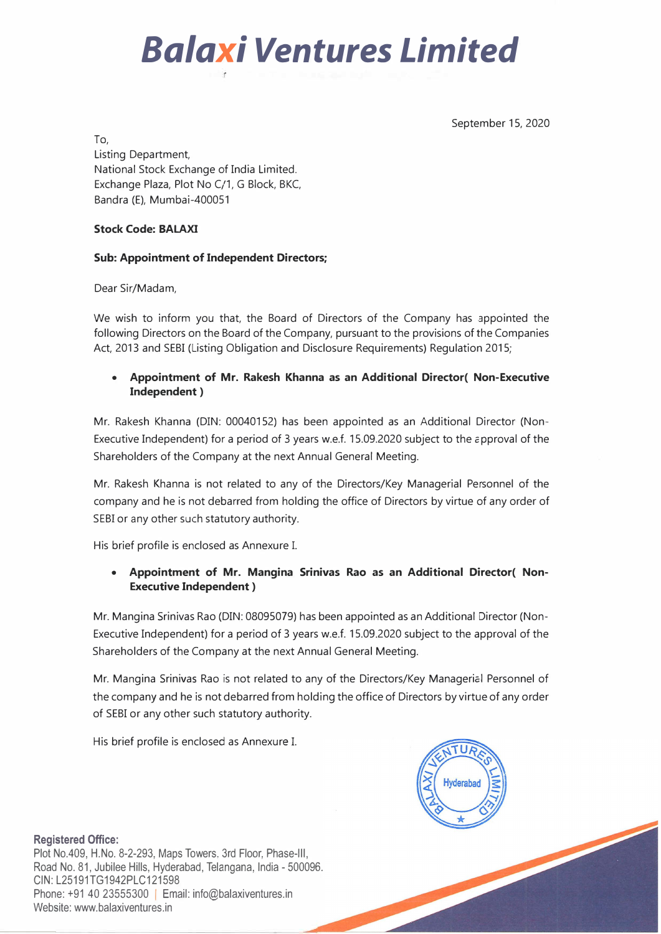

September 15, 2020

To,

Listing Department, National Stock Exchange of India Limited. Exchange Plaza, Plot No C/1, G Block, BKC, Bandra (E), Mumbai-400051

## **Stock Code: BALAXI**

## **Sub: Appointment of Independent Directors;**

Dear Sir/Madam,

We wish to inform you that, the Board of Directors of the Company has appointed the following Directors on the Board of the Company, pursuant to the provisions of the Companies Act, 2013 and SEBI (Listing Obligation and Disclosure Requirements) Regulation 2015;

## **• Appointment of Mr. Rakesh Khanna as an Additional Director( Non-Executive Independent )**

Mr. Rakesh Khanna (DIN: 00040152) has been appointed as an Additional Director (Non-Executive Independent) for a period of 3 years w.e.f. 15.09.2020 subject to the 2pproval of the Shareholders of the Company at the next Annual General Meeting.

Mr. Rakesh Khanna is not related to any of the Directors/Key Managerial Personnel of the company and he is not debarred from holding the office of Directors by virtue of any order of SEBI or any other such statutory authority.

His brief profile is enclosed as Annexure I.

## **• Appointment of Mr. Mangina Srinivas Rao as an Additional Director( Non-Executive Independent )**

Mr. Mangina Srinivas Rao (DIN: 08095079) has been appointed as an Additional Director (Non-Executive Independent) for a period of 3 years w.e.f. 15.09.2020 subject to the approval of the Shareholders of the Company at the next Annual General Meeting.

Mr. Mangina Srinivas Rao is not related to any of the Directors/Key Managerial Personnel of the company and he is not debarred from holding the office of Directors by virtue of any order of SEBI or any other such statutory authority.

His brief profile is enclosed as Annexure I.



**Registered Office:** 

Plot No.409, H.No. 8-2-293, Maps Towers, 3rd Floor, Phase-Ill, Road No. 81, Jubilee Hills, Hyderabad, Telangana, India - 500096. CIN:L25191TG1942PLC121598 Phone: +91 40 23555300 | Email: info@balaxiventures.in Website: www.balaxiventures.in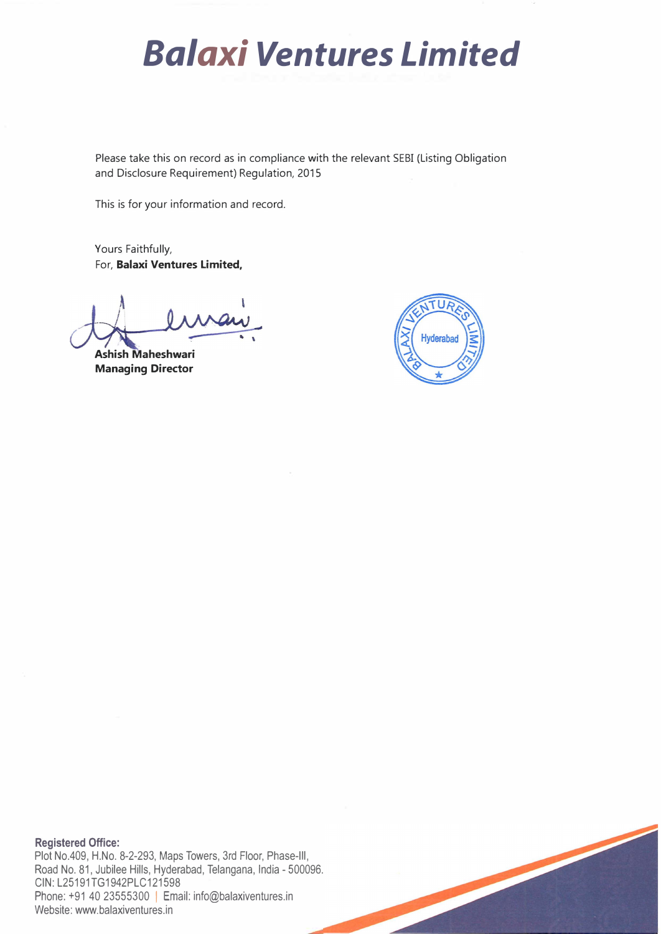# *Balaxi Ventures Limited*

Please take this on record as in compliance with the relevant SEBI (Listing Obligation and Disclosure Requirement) Regulation, 2015

This is for your information and record.

Yours Faithfully, For, **Balaxi Ventures Limited,** 

**Ashish Maheshwari Managing Director** 



**Registered Office:**  Plot No.409, H.No. 8-2-293, Maps Towers, 3rd Floor, Phase-Ill, Road No. 81, Jubilee Hills, Hyderabad, Telangana, India - 500096. CIN:L25191TG1942PLC121598

Phone: +91 40 23555300 | Email: info@balaxiventures.in Website: www.balaxiventures.in